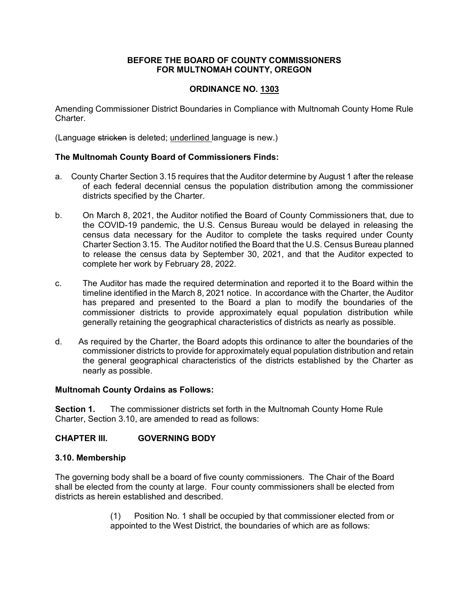## **BEFORE THE BOARD OF COUNTY COMMISSIONERS FOR MULTNOMAH COUNTY, OREGON**

# **ORDINANCE NO. 1303**

Amending Commissioner District Boundaries in Compliance with Multnomah County Home Rule Charter.

(Language stricken is deleted; underlined language is new.)

## **The Multnomah County Board of Commissioners Finds:**

- a. County Charter Section 3.15 requires that the Auditor determine by August 1 after the release of each federal decennial census the population distribution among the commissioner districts specified by the Charter.
- b. On March 8, 2021, the Auditor notified the Board of County Commissioners that, due to the COVID-19 pandemic, the U.S. Census Bureau would be delayed in releasing the census data necessary for the Auditor to complete the tasks required under County Charter Section 3.15. The Auditor notified the Board that the U.S. Census Bureau planned to release the census data by September 30, 2021, and that the Auditor expected to complete her work by February 28, 2022.
- c. The Auditor has made the required determination and reported it to the Board within the timeline identified in the March 8, 2021 notice. In accordance with the Charter, the Auditor has prepared and presented to the Board a plan to modify the boundaries of the commissioner districts to provide approximately equal population distribution while generally retaining the geographical characteristics of districts as nearly as possible.
- d. As required by the Charter, the Board adopts this ordinance to alter the boundaries of the commissioner districts to provide for approximately equal population distribution and retain the general geographical characteristics of the districts established by the Charter as nearly as possible.

## **Multnomah County Ordains as Follows:**

**Section 1.** The commissioner districts set forth in the Multnomah County Home Rule Charter, Section 3.10, are amended to read as follows:

## **CHAPTER III. GOVERNING BODY**

## **3.10. Membership**

The governing body shall be a board of five county commissioners. The Chair of the Board shall be elected from the county at large. Four county commissioners shall be elected from districts as herein established and described.

> (1) Position No. 1 shall be occupied by that commissioner elected from or appointed to the West District, the boundaries of which are as follows: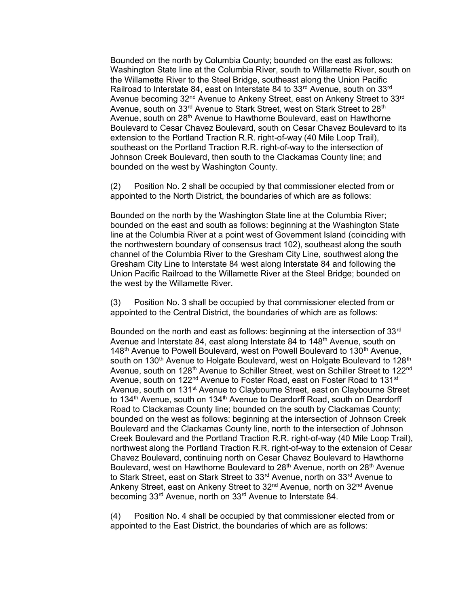Bounded on the north by Columbia County; bounded on the east as follows: Washington State line at the Columbia River, south to Willamette River, south on the Willamette River to the Steel Bridge, southeast along the Union Pacific Railroad to Interstate 84, east on Interstate 84 to 33<sup>rd</sup> Avenue, south on 33<sup>rd</sup> Avenue becoming 32<sup>nd</sup> Avenue to Ankeny Street, east on Ankeny Street to 33<sup>rd</sup> Avenue, south on 33<sup>rd</sup> Avenue to Stark Street, west on Stark Street to 28<sup>th</sup> Avenue, south on 28<sup>th</sup> Avenue to Hawthorne Boulevard, east on Hawthorne Boulevard to Cesar Chavez Boulevard, south on Cesar Chavez Boulevard to its extension to the Portland Traction R.R. right-of-way (40 Mile Loop Trail), southeast on the Portland Traction R.R. right-of-way to the intersection of Johnson Creek Boulevard, then south to the Clackamas County line; and bounded on the west by Washington County.

(2) Position No. 2 shall be occupied by that commissioner elected from or appointed to the North District, the boundaries of which are as follows:

Bounded on the north by the Washington State line at the Columbia River; bounded on the east and south as follows: beginning at the Washington State line at the Columbia River at a point west of Government Island (coinciding with the northwestern boundary of consensus tract 102), southeast along the south channel of the Columbia River to the Gresham City Line, southwest along the Gresham City Line to Interstate 84 west along Interstate 84 and following the Union Pacific Railroad to the Willamette River at the Steel Bridge; bounded on the west by the Willamette River.

(3) Position No. 3 shall be occupied by that commissioner elected from or appointed to the Central District, the boundaries of which are as follows:

Bounded on the north and east as follows: beginning at the intersection of 33 $^{\text{rd}}$ Avenue and Interstate 84, east along Interstate 84 to 148<sup>th</sup> Avenue, south on 148<sup>th</sup> Avenue to Powell Boulevard, west on Powell Boulevard to 130<sup>th</sup> Avenue. south on 130<sup>th</sup> Avenue to Holgate Boulevard, west on Holgate Boulevard to 128<sup>th</sup> Avenue, south on 128<sup>th</sup> Avenue to Schiller Street, west on Schiller Street to 122<sup>nd</sup> Avenue, south on 122<sup>nd</sup> Avenue to Foster Road, east on Foster Road to 131<sup>st</sup> Avenue, south on 131<sup>st</sup> Avenue to Claybourne Street, east on Claybourne Street to 134<sup>th</sup> Avenue, south on 134<sup>th</sup> Avenue to Deardorff Road, south on Deardorff Road to Clackamas County line; bounded on the south by Clackamas County; bounded on the west as follows: beginning at the intersection of Johnson Creek Boulevard and the Clackamas County line, north to the intersection of Johnson Creek Boulevard and the Portland Traction R.R. right-of-way (40 Mile Loop Trail), northwest along the Portland Traction R.R. right-of-way to the extension of Cesar Chavez Boulevard, continuing north on Cesar Chavez Boulevard to Hawthorne Boulevard, west on Hawthorne Boulevard to 28<sup>th</sup> Avenue, north on 28<sup>th</sup> Avenue to Stark Street, east on Stark Street to 33<sup>rd</sup> Avenue, north on 33<sup>rd</sup> Avenue to Ankeny Street, east on Ankeny Street to 32<sup>nd</sup> Avenue, north on 32<sup>nd</sup> Avenue becoming 33rd Avenue, north on 33rd Avenue to Interstate 84.

(4) Position No. 4 shall be occupied by that commissioner elected from or appointed to the East District, the boundaries of which are as follows: